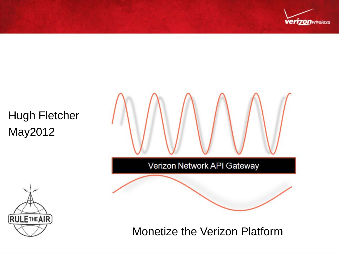

Hugh Fletcher May2012

Verizon Network API Gateway



Monetize the Verizon Platform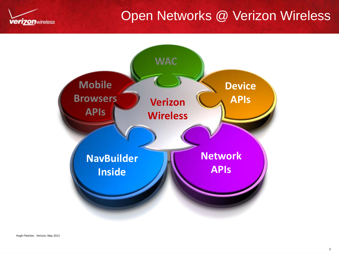

## Open Networks @ Verizon Wireless

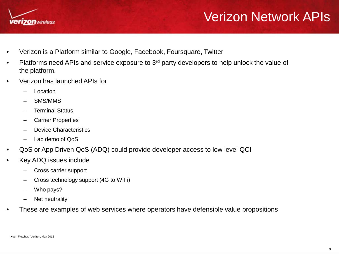

## Verizon Network APIs

- Verizon is a Platform similar to Google, Facebook, Foursquare, Twitter
- Platforms need APIs and service exposure to 3<sup>rd</sup> party developers to help unlock the value of the platform.
- Verizon has launched APIs for
	- **Location**
	- SMS/MMS
	- Terminal Status
	- Carrier Properties
	- Device Characteristics
	- Lab demo of QoS
- QoS or App Driven QoS (ADQ) could provide developer access to low level QCI
- Key ADQ issues include
	- Cross carrier support
	- Cross technology support (4G to WiFi)
	- Who pays?
	- Net neutrality
- These are examples of web services where operators have defensible value propositions